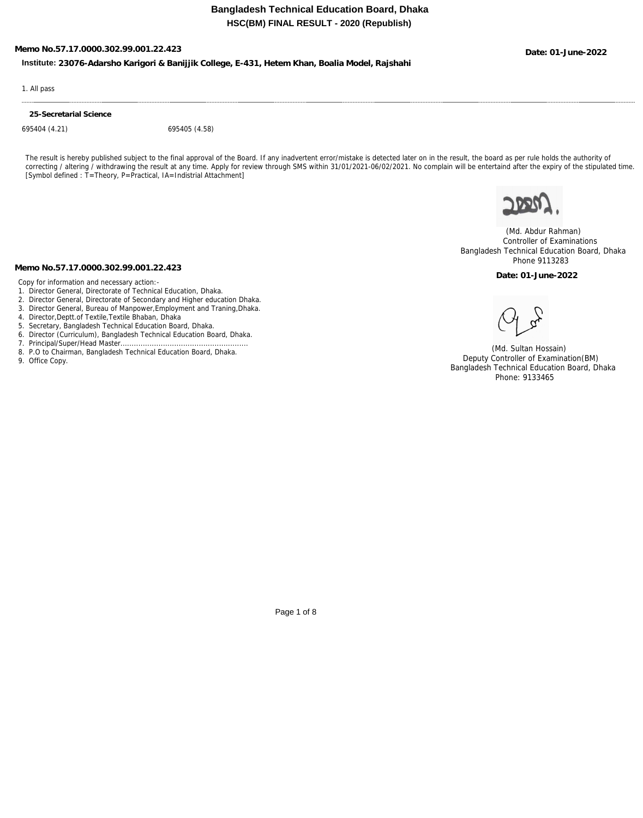**Memo No.57.17.0000.302.99.001.22.423 Date: 01-June-2022**

**Institute: 23076-Adarsho Karigori & Banijjik College, E-431, Hetem Khan, Boalia Model, Rajshahi**

1. All pass

**25-Secretarial Science**

695404 (4.21) 695405 (4.58)

The result is hereby published subject to the final approval of the Board. If any inadvertent error/mistake is detected later on in the result, the board as per rule holds the authority of correcting / altering / withdrawing the result at any time. Apply for review through SMS within 31/01/2021-06/02/2021. No complain will be entertaind after the expiry of the stipulated time. [Symbol defined : T=Theory, P=Practical, IA=Indistrial Attachment]



 (Md. Abdur Rahman) Controller of Examinations Bangladesh Technical Education Board, Dhaka Phone 9113283

**Date: 01-June-2022**

**Memo No.57.17.0000.302.99.001.22.423**

Copy for information and necessary action:-

- 1. Director General, Directorate of Technical Education, Dhaka.
- 2. Director General, Directorate of Secondary and Higher education Dhaka.
- 3. Director General, Bureau of Manpower,Employment and Traning,Dhaka.
- 4. Director,Deptt.of Textile,Textile Bhaban, Dhaka
- 5. Secretary, Bangladesh Technical Education Board, Dhaka.
- 6. Director (Curriculum), Bangladesh Technical Education Board, Dhaka.
- 7. Principal/Super/Head Master...
- 8. P.O to Chairman, Bangladesh Technical Education Board, Dhaka.
- 9. Office Copy.

 (Md. Sultan Hossain) Deputy Controller of Examination(BM) Bangladesh Technical Education Board, Dhaka Phone: 9133465

Page 1 of 8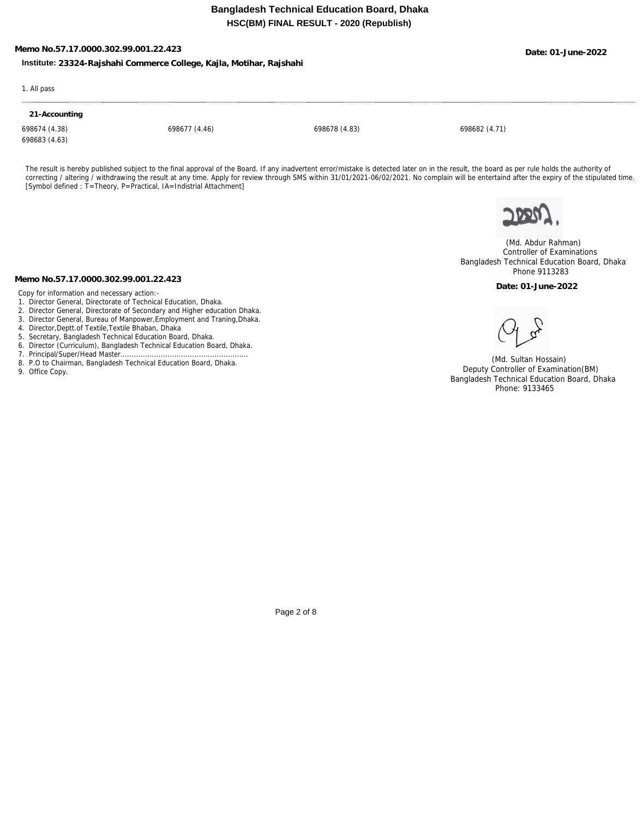# **Memo No.57.17.0000.302.99.001.22.423 Date: 01-June-2022**

## **Institute: 23324-Rajshahi Commerce College, Kajla, Motihar, Rajshahi**

1. All pass

### **21-Accounting**

698683 (4.63)

698674 (4.38) 698677 (4.46) 698678 (4.83) 698682 (4.71)

The result is hereby published subject to the final approval of the Board. If any inadvertent error/mistake is detected later on in the result, the board as per rule holds the authority of correcting / altering / withdrawing the result at any time. Apply for review through SMS within 31/01/2021-06/02/2021. No complain will be entertaind after the expiry of the stipulated time. [Symbol defined : T=Theory, P=Practical, IA=Indistrial Attachment]



 (Md. Abdur Rahman) Controller of Examinations Bangladesh Technical Education Board, Dhaka Phone 9113283

**Date: 01-June-2022**

**Memo No.57.17.0000.302.99.001.22.423**

Copy for information and necessary action:-

- 1. Director General, Directorate of Technical Education, Dhaka.
- 2. Director General, Directorate of Secondary and Higher education Dhaka.
- 3. Director General, Bureau of Manpower,Employment and Traning,Dhaka.
- 4. Director,Deptt.of Textile,Textile Bhaban, Dhaka
- 5. Secretary, Bangladesh Technical Education Board, Dhaka.
- 6. Director (Curriculum), Bangladesh Technical Education Board, Dhaka.
- 7. Principal/Super/Head Master.............. 8. P.O to Chairman, Bangladesh Technical Education Board, Dhaka.
- 
- 9. Office Copy.

 (Md. Sultan Hossain) Deputy Controller of Examination(BM) Bangladesh Technical Education Board, Dhaka Phone: 9133465

Page 2 of 8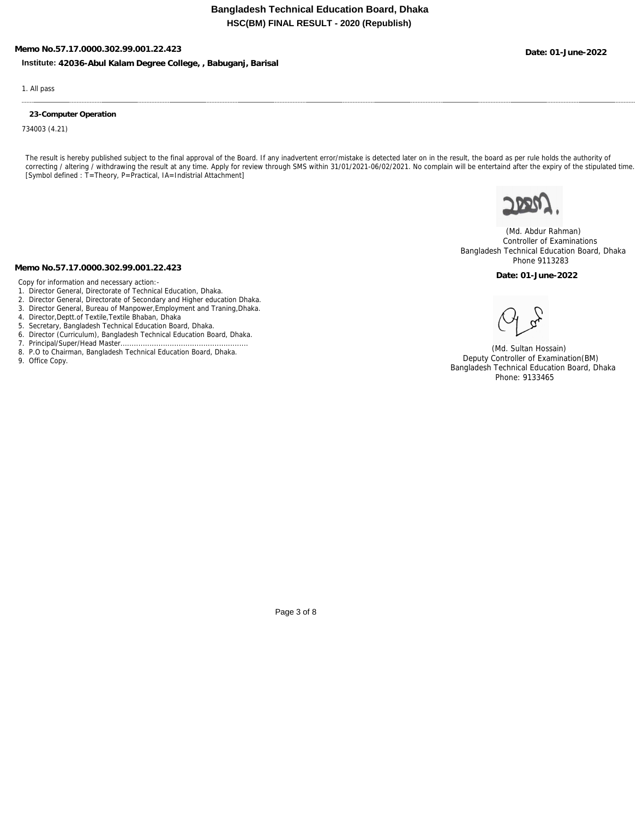**Memo No.57.17.0000.302.99.001.22.423 Date: 01-June-2022**

**Institute: 42036-Abul Kalam Degree College, , Babuganj, Barisal**

1. All pass

### **23-Computer Operation**

734003 (4.21)

The result is hereby published subject to the final approval of the Board. If any inadvertent error/mistake is detected later on in the result, the board as per rule holds the authority of correcting / altering / withdrawing the result at any time. Apply for review through SMS within 31/01/2021-06/02/2021. No complain will be entertaind after the expiry of the stipulated time. [Symbol defined : T=Theory, P=Practical, IA=Indistrial Attachment]



 (Md. Abdur Rahman) Controller of Examinations Bangladesh Technical Education Board, Dhaka Phone 9113283

**Date: 01-June-2022**

#### **Memo No.57.17.0000.302.99.001.22.423**

Copy for information and necessary action:-

- 1. Director General, Directorate of Technical Education, Dhaka.
- 2. Director General, Directorate of Secondary and Higher education Dhaka.
- 3. Director General, Bureau of Manpower,Employment and Traning,Dhaka.
- 4. Director,Deptt.of Textile,Textile Bhaban, Dhaka
- 5. Secretary, Bangladesh Technical Education Board, Dhaka.
- 6. Director (Curriculum), Bangladesh Technical Education Board, Dhaka.
- 7. Principal/Super/Head Master...
- 8. P.O to Chairman, Bangladesh Technical Education Board, Dhaka.
- 9. Office Copy.

 (Md. Sultan Hossain) Deputy Controller of Examination(BM) Bangladesh Technical Education Board, Dhaka Phone: 9133465

Page 3 of 8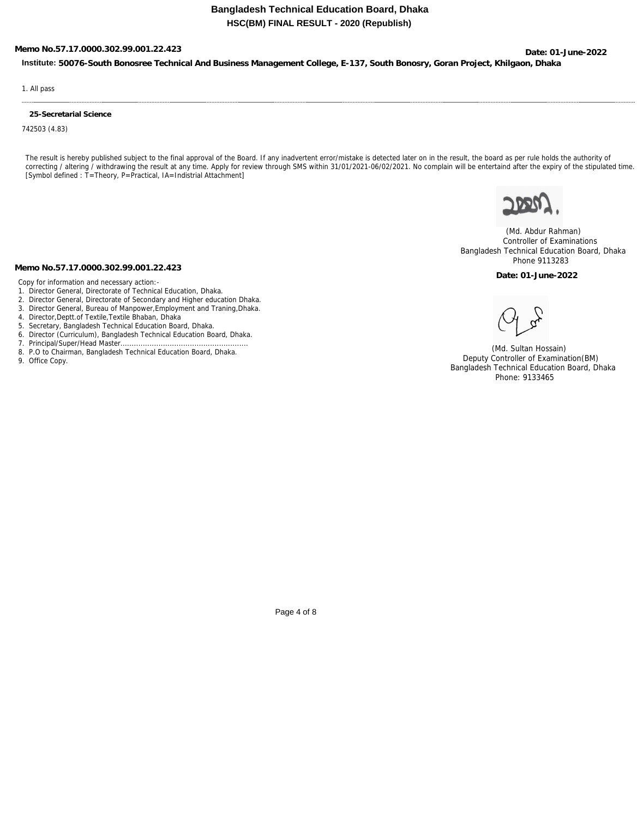# **Memo No.57.17.0000.302.99.001.22.423 Date: 01-June-2022**

**Institute: 50076-South Bonosree Technical And Business Management College, E-137, South Bonosry, Goran Project, Khilgaon, Dhaka**

1. All pass

### **25-Secretarial Science**

742503 (4.83)

The result is hereby published subject to the final approval of the Board. If any inadvertent error/mistake is detected later on in the result, the board as per rule holds the authority of correcting / altering / withdrawing the result at any time. Apply for review through SMS within 31/01/2021-06/02/2021. No complain will be entertaind after the expiry of the stipulated time. [Symbol defined : T=Theory, P=Practical, IA=Indistrial Attachment]



 (Md. Abdur Rahman) Controller of Examinations Bangladesh Technical Education Board, Dhaka Phone 9113283

**Date: 01-June-2022**

#### **Memo No.57.17.0000.302.99.001.22.423**

Copy for information and necessary action:-

- 1. Director General, Directorate of Technical Education, Dhaka.
- 2. Director General, Directorate of Secondary and Higher education Dhaka.
- 3. Director General, Bureau of Manpower,Employment and Traning,Dhaka.
- 4. Director,Deptt.of Textile,Textile Bhaban, Dhaka
- 5. Secretary, Bangladesh Technical Education Board, Dhaka.
- 6. Director (Curriculum), Bangladesh Technical Education Board, Dhaka.
- 7. Principal/Super/Head Master...
- 8. P.O to Chairman, Bangladesh Technical Education Board, Dhaka.
- 9. Office Copy.

 (Md. Sultan Hossain) Deputy Controller of Examination(BM) Bangladesh Technical Education Board, Dhaka Phone: 9133465

Page 4 of 8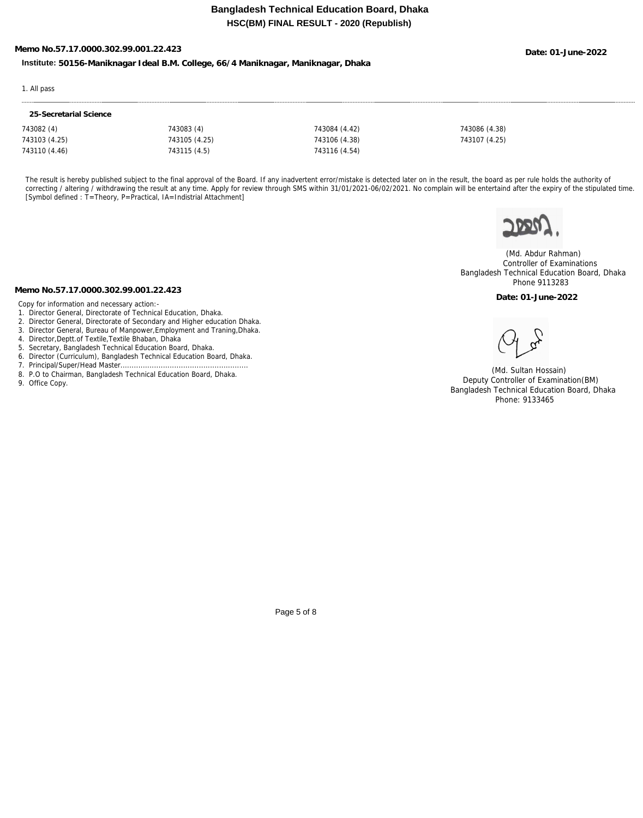# **Memo No.57.17.0000.302.99.001.22.423 Date: 01-June-2022**

**Institute: 50156-Maniknagar Ideal B.M. College, 66/4 Maniknagar, Maniknagar, Dhaka**

### 1. All pass

| 25-Secretarial Science |               |               |               |
|------------------------|---------------|---------------|---------------|
| 743082 (4)             | 743083 (4)    | 743084 (4.42) | 743086 (4.38) |
| 743103 (4.25)          | 743105 (4.25) | 743106 (4.38) | 743107 (4.25) |
| 743110 (4.46)          | 743115 (4.5)  | 743116 (4.54) |               |

The result is hereby published subject to the final approval of the Board. If any inadvertent error/mistake is detected later on in the result, the board as per rule holds the authority of correcting / altering / withdrawing the result at any time. Apply for review through SMS within 31/01/2021-06/02/2021. No complain will be entertaind after the expiry of the stipulated time. [Symbol defined : T=Theory, P=Practical, IA=Indistrial Attachment]



 (Md. Abdur Rahman) Controller of Examinations Bangladesh Technical Education Board, Dhaka Phone 9113283

**Date: 01-June-2022**

## **Memo No.57.17.0000.302.99.001.22.423**

- Copy for information and necessary action:-
- 1. Director General, Directorate of Technical Education, Dhaka.
- 2. Director General, Directorate of Secondary and Higher education Dhaka.
- 3. Director General, Bureau of Manpower,Employment and Traning,Dhaka.
- 4. Director,Deptt.of Textile,Textile Bhaban, Dhaka
- 5. Secretary, Bangladesh Technical Education Board, Dhaka.
- 6. Director (Curriculum), Bangladesh Technical Education Board, Dhaka.
- 7. Principal/Super/Head Master.............
- 8. P.O to Chairman, Bangladesh Technical Education Board, Dhaka.
- 9. Office Copy.

 (Md. Sultan Hossain) Deputy Controller of Examination(BM) Bangladesh Technical Education Board, Dhaka Phone: 9133465

Page 5 of 8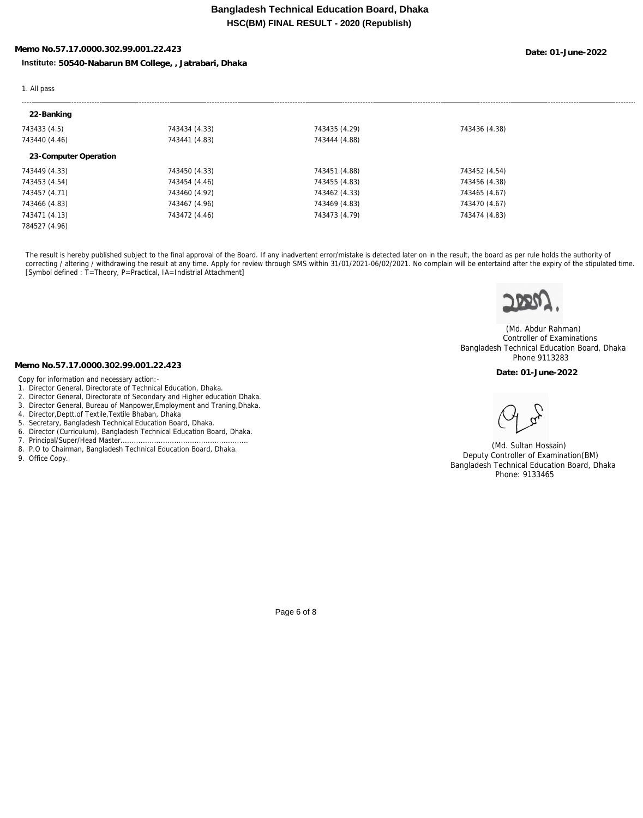# **Memo No.57.17.0000.302.99.001.22.423 Date: 01-June-2022**

**Institute: 50540-Nabarun BM College, , Jatrabari, Dhaka**

### 1. All pass

| 743434 (4.33) | 743435 (4.29) | 743436 (4.38) |  |
|---------------|---------------|---------------|--|
| 743441 (4.83) | 743444 (4.88) |               |  |
|               |               |               |  |
| 743450 (4.33) | 743451 (4.88) | 743452 (4.54) |  |
| 743454 (4.46) | 743455 (4.83) | 743456 (4.38) |  |
| 743460 (4.92) | 743462 (4.33) | 743465 (4.67) |  |
| 743467 (4.96) | 743469 (4.83) | 743470 (4.67) |  |
| 743472 (4.46) | 743473 (4.79) | 743474 (4.83) |  |
|               |               |               |  |
|               |               |               |  |

The result is hereby published subject to the final approval of the Board. If any inadvertent error/mistake is detected later on in the result, the board as per rule holds the authority of correcting / altering / withdrawing the result at any time. Apply for review through SMS within 31/01/2021-06/02/2021. No complain will be entertaind after the expiry of the stipulated time. [Symbol defined : T=Theory, P=Practical, IA=Indistrial Attachment]



 (Md. Abdur Rahman) Controller of Examinations Bangladesh Technical Education Board, Dhaka Phone 9113283

**Date: 01-June-2022**

 (Md. Sultan Hossain) Deputy Controller of Examination(BM) Bangladesh Technical Education Board, Dhaka Phone: 9133465

**Memo No.57.17.0000.302.99.001.22.423**

Copy for information and necessary action:-

- 1. Director General, Directorate of Technical Education, Dhaka.
- 2. Director General, Directorate of Secondary and Higher education Dhaka.
- 3. Director General, Bureau of Manpower,Employment and Traning,Dhaka.
- 4. Director,Deptt.of Textile,Textile Bhaban, Dhaka
- 5. Secretary, Bangladesh Technical Education Board, Dhaka.
- 6. Director (Curriculum), Bangladesh Technical Education Board, Dhaka.
- 7. Principal/Super/Head Master......................................................... 8. P.O to Chairman, Bangladesh Technical Education Board, Dhaka.
- 9. Office Copy.

Page 6 of 8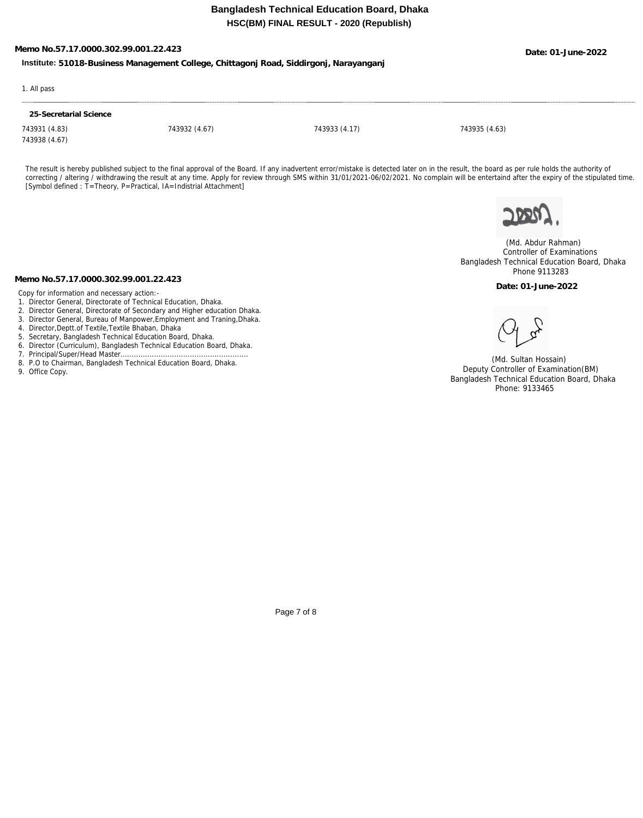# **Memo No.57.17.0000.302.99.001.22.423 Date: 01-June-2022**

**Institute: 51018-Business Management College, Chittagonj Road, Siddirgonj, Narayanganj**

### 1. All pass

## **25-Secretarial Science**

743931 (4.83) 743932 (4.67) 743933 (4.17) 743935 (4.63) 743938 (4.67)

The result is hereby published subject to the final approval of the Board. If any inadvertent error/mistake is detected later on in the result, the board as per rule holds the authority of correcting / altering / withdrawing the result at any time. Apply for review through SMS within 31/01/2021-06/02/2021. No complain will be entertaind after the expiry of the stipulated time. [Symbol defined : T=Theory, P=Practical, IA=Indistrial Attachment]



 (Md. Abdur Rahman) Controller of Examinations Bangladesh Technical Education Board, Dhaka Phone 9113283

**Date: 01-June-2022**

**Memo No.57.17.0000.302.99.001.22.423**

Copy for information and necessary action:-

- 1. Director General, Directorate of Technical Education, Dhaka.
- 2. Director General, Directorate of Secondary and Higher education Dhaka.
- 3. Director General, Bureau of Manpower,Employment and Traning,Dhaka.
- 4. Director,Deptt.of Textile,Textile Bhaban, Dhaka
- 5. Secretary, Bangladesh Technical Education Board, Dhaka.
- 6. Director (Curriculum), Bangladesh Technical Education Board, Dhaka.
- 7. Principal/Super/Head Master.............. 8. P.O to Chairman, Bangladesh Technical Education Board, Dhaka.
- 
- 9. Office Copy.

 (Md. Sultan Hossain) Deputy Controller of Examination(BM) Bangladesh Technical Education Board, Dhaka Phone: 9133465

Page 7 of 8